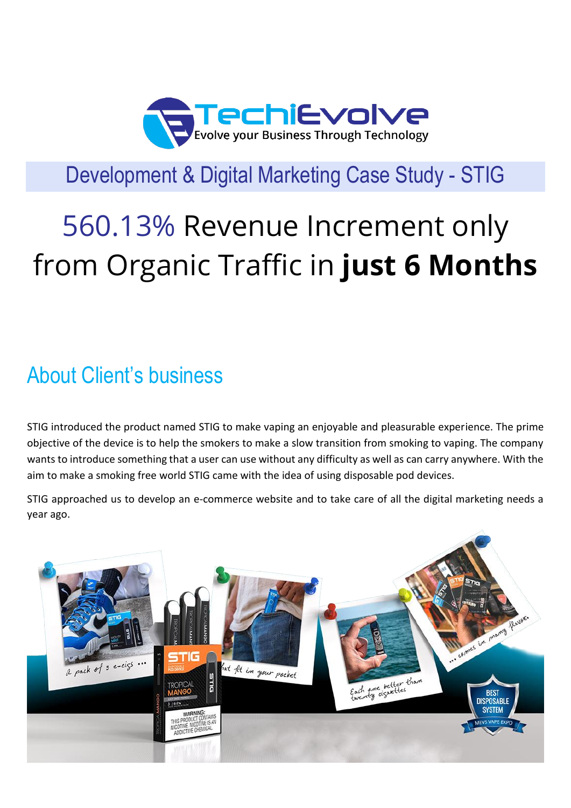

## Development & Digital Marketing Case Study - STIG

# 560.13% Revenue Increment only from Organic Traffic in **just 6 Months**

## About Client's business

STIG introduced the product named STIG to make vaping an enjoyable and pleasurable experience. The prime objective of the device is to help the smokers to make a slow transition from smoking to vaping. The company wants to introduce something that a user can use without any difficulty as well as can carry anywhere. With the aim to make a smoking free world STIG came with the idea of using disposable pod devices.

STIG approached us to develop an e-commerce website and to take care of all the digital marketing needs a year ago.

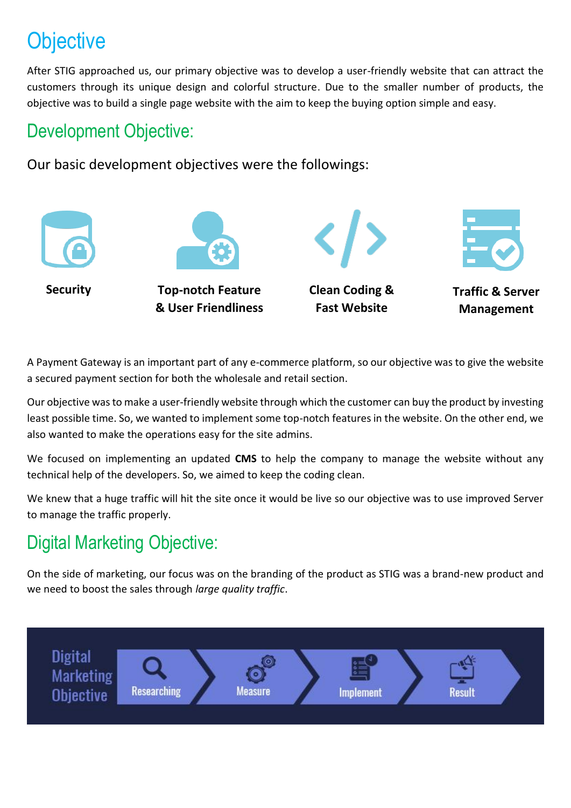# **Objective**

After STIG approached us, our primary objective was to develop a user-friendly website that can attract the customers through its unique design and colorful structure. Due to the smaller number of products, the objective was to build a single page website with the aim to keep the buying option simple and easy.

#### Development Objective:

Our basic development objectives were the followings:



A Payment Gateway is an important part of any e-commerce platform, so our objective was to give the website a secured payment section for both the wholesale and retail section.

Our objective was to make a user-friendly website through which the customer can buy the product by investing least possible time. So, we wanted to implement some top-notch features in the website. On the other end, we also wanted to make the operations easy for the site admins.

We focused on implementing an updated **CMS** to help the company to manage the website without any technical help of the developers. So, we aimed to keep the coding clean.

We knew that a huge traffic will hit the site once it would be live so our objective was to use improved Server to manage the traffic properly.

### Digital Marketing Objective:

On the side of marketing, our focus was on the branding of the product as STIG was a brand-new product and we need to boost the sales through *large quality traffic*.

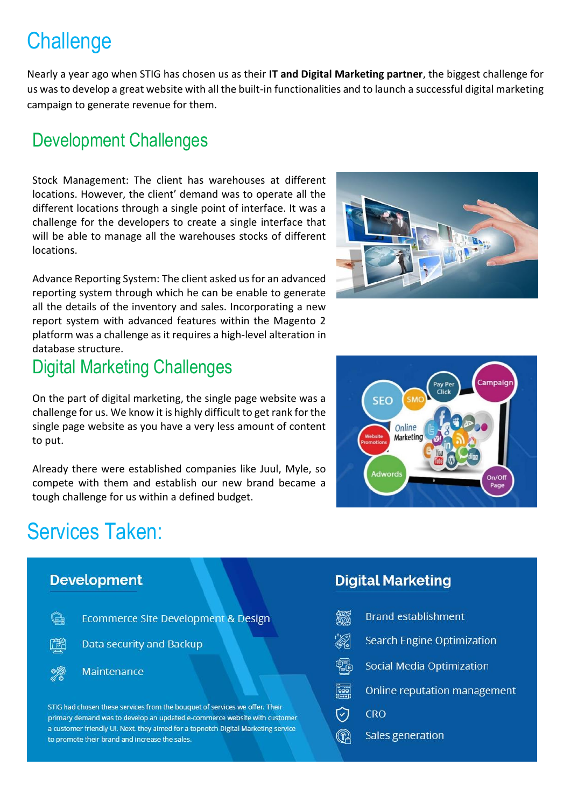## **Challenge**

Nearly a year ago when STIG has chosen us as their **IT and Digital Marketing partner**, the biggest challenge for us was to develop a great website with all the built-in functionalities and to launch a successful digital marketing campaign to generate revenue for them.

#### Development Challenges

Stock Management: The client has warehouses at different locations. However, the client' demand was to operate all the different locations through a single point of interface. It was a challenge for the developers to create a single interface that will be able to manage all the warehouses stocks of different locations.

Advance Reporting System: The client asked us for an advanced reporting system through which he can be enable to generate all the details of the inventory and sales. Incorporating a new report system with advanced features within the Magento 2 platform was a challenge as it requires a high-level alteration in database structure.

#### Digital Marketing Challenges

On the part of digital marketing, the single page website was a challenge for us. We know it is highly difficult to get rank for the single page website as you have a very less amount of content to put.

Already there were established companies like Juul, Myle, so compete with them and establish our new brand became a tough challenge for us within a defined budget.

## Services Taken:







#### **Digital Marketing**

|                       | <b>Brand establishment</b>        |
|-----------------------|-----------------------------------|
| ℅                     | <b>Search Engine Optimization</b> |
| ł                     | Social Media Optimization         |
| ----<br>----<br>----- | Online reputation manageme        |
| õ                     | <b>CRO</b>                        |
|                       | <b>Sales generation</b>           |

 $ent$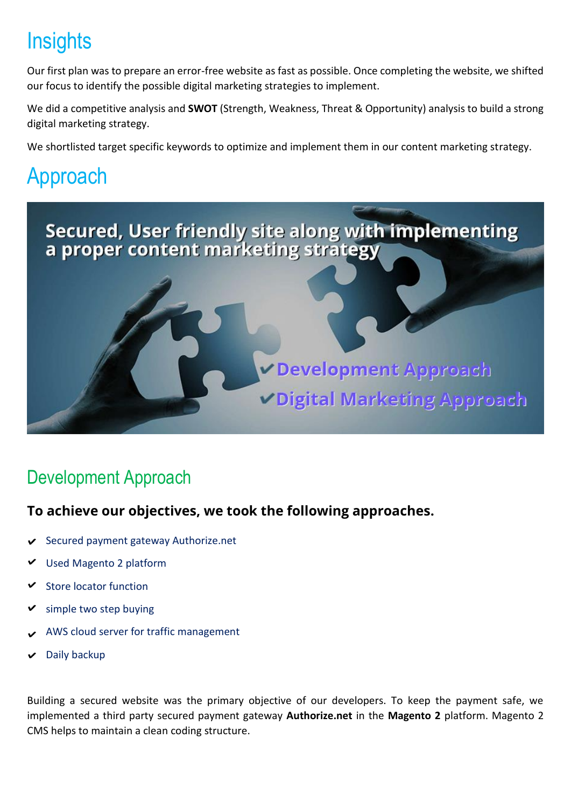# **Insights**

Our first plan was to prepare an error-free website as fast as possible. Once completing the website, we shifted our focus to identify the possible digital marketing strategies to implement.

We did a competitive analysis and **SWOT** (Strength, Weakness, Threat & Opportunity) analysis to build a strong digital marketing strategy.

We shortlisted target specific keywords to optimize and implement them in our content marketing strategy.

# Approach



### Development Approach

#### **To achieve our objectives, we took the following approaches.**

- Secured payment gateway Authorize.net
- Used Magento 2 platform
- Store locator function
- simple two step buying
- AWS cloud server for traffic management
- Daily backup

Building a secured website was the primary objective of our developers. To keep the payment safe, we implemented a third party secured payment gateway **Authorize.net** in the **Magento 2** platform. Magento 2 CMS helps to maintain a clean coding structure.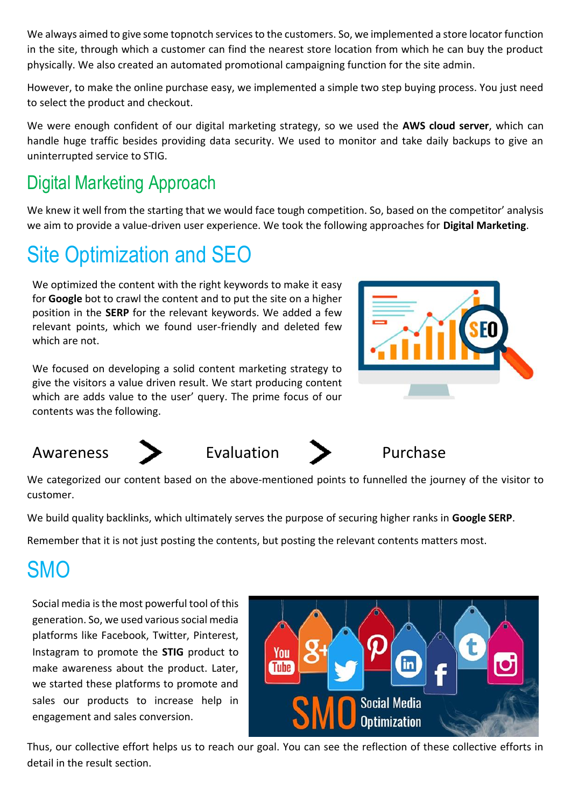We always aimed to give some topnotch services to the customers. So, we implemented a store locator function in the site, through which a customer can find the nearest store location from which he can buy the product physically. We also created an automated promotional campaigning function for the site admin.

However, to make the online purchase easy, we implemented a simple two step buying process. You just need to select the product and checkout.

We were enough confident of our digital marketing strategy, so we used the **AWS cloud server**, which can handle huge traffic besides providing data security. We used to monitor and take daily backups to give an uninterrupted service to STIG.

### Digital Marketing Approach

We knew it well from the starting that we would face tough competition. So, based on the competitor' analysis we aim to provide a value-driven user experience. We took the following approaches for **Digital Marketing**.

## Site Optimization and SEO

We optimized the content with the right keywords to make it easy for **Google** bot to crawl the content and to put the site on a higher position in the **SERP** for the relevant keywords. We added a few relevant points, which we found user-friendly and deleted few which are not.

We focused on developing a solid content marketing strategy to give the visitors a value driven result. We start producing content which are adds value to the user' query. The prime focus of our contents was the following.









We categorized our content based on the above-mentioned points to funnelled the journey of the visitor to customer.

We build quality backlinks, which ultimately serves the purpose of securing higher ranks in **Google SERP**.

Remember that it is not just posting the contents, but posting the relevant contents matters most.

## **SMO**

Social media is the most powerful tool of this generation. So, we used various social media platforms like Facebook, Twitter, Pinterest, Instagram to promote the **STIG** product to make awareness about the product. Later, we started these platforms to promote and sales our products to increase help in engagement and sales conversion.



Thus, our collective effort helps us to reach our goal. You can see the reflection of these collective efforts in detail in the result section.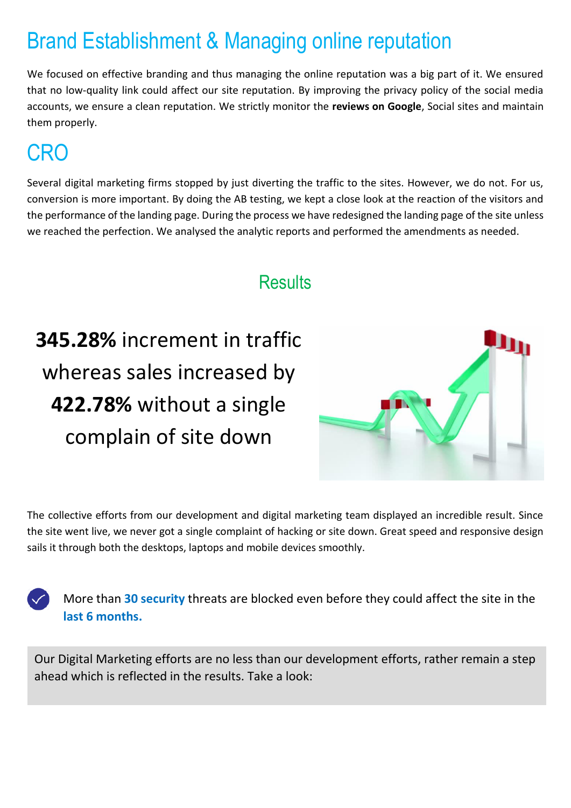## Brand Establishment & Managing online reputation

We focused on effective branding and thus managing the online reputation was a big part of it. We ensured that no low-quality link could affect our site reputation. By improving the privacy policy of the social media accounts, we ensure a clean reputation. We strictly monitor the **reviews on Google**, Social sites and maintain them properly.

## CRO

Several digital marketing firms stopped by just diverting the traffic to the sites. However, we do not. For us, conversion is more important. By doing the AB testing, we kept a close look at the reaction of the visitors and the performance of the landing page. During the process we have redesigned the landing page of the site unless we reached the perfection. We analysed the analytic reports and performed the amendments as needed.

#### **Results**

**345.28%** increment in traffic whereas sales increased by **422.78%** without a single complain of site down



The collective efforts from our development and digital marketing team displayed an incredible result. Since the site went live, we never got a single complaint of hacking or site down. Great speed and responsive design sails it through both the desktops, laptops and mobile devices smoothly.

More than **30 security** threats are blocked even before they could affect the site in the **last 6 months.**

Our Digital Marketing efforts are no less than our development efforts, rather remain a step ahead which is reflected in the results. Take a look: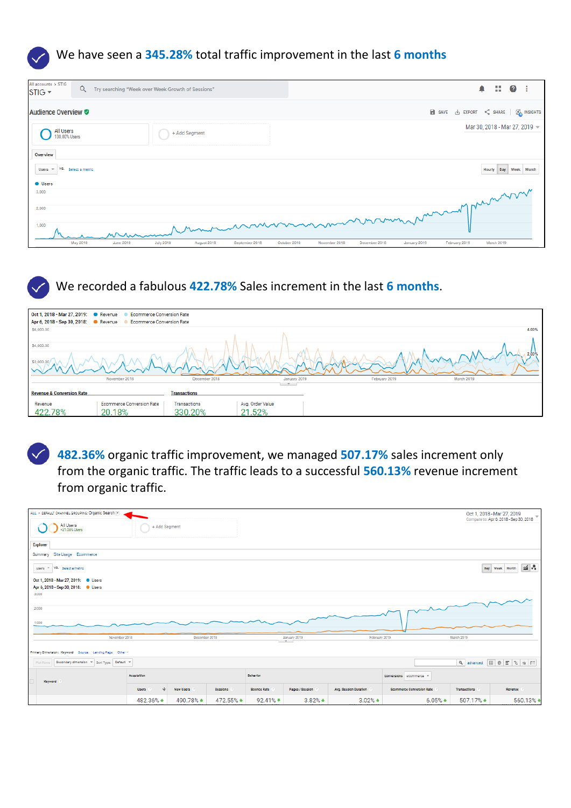

| All accounts > STIG<br>STIG <del>v</del> | $\alpha$        | Try searching "Week over Week Growth of Sessions"                     | $\blacksquare$<br>$\bullet$<br>- 1                                                            |
|------------------------------------------|-----------------|-----------------------------------------------------------------------|-----------------------------------------------------------------------------------------------|
| <b>Audience Overview ♥</b>               |                 |                                                                       | SAVE & EXPORT < SHARE   CA INSIGHTS                                                           |
| All Users<br>100.00% Users               |                 | + Add Segment                                                         | Mar 30, 2018 - Mar 27, 2019 ~                                                                 |
| Overview                                 |                 |                                                                       |                                                                                               |
| VS.<br>Users<br>$\overline{\phantom{a}}$ | Select a metric |                                                                       | Day Week Month<br>Hourly                                                                      |
| <b>Users</b>                             |                 |                                                                       |                                                                                               |
| 3,000                                    |                 |                                                                       |                                                                                               |
| 2,000                                    |                 |                                                                       |                                                                                               |
| 1,000                                    |                 | Munummon                                                              | minimentalement                                                                               |
|                                          | May 2018        | <b>June 2018</b><br><b>July 2018</b><br>August 2018<br>September 2018 | March 2019<br>October 2018<br>November 2018<br>December 2018<br>January 2019<br>February 2019 |

#### We recorded a fabulous **422.78%** Sales increment in the last **6 months**.

|                                      | Oct 1, 2018 - Mar 27, 2019: CRevenue Commerce Conversion Rate |                     |                  |              |               |            |
|--------------------------------------|---------------------------------------------------------------|---------------------|------------------|--------------|---------------|------------|
|                                      | Apr 6, 2018 - Sep 30, 2018: CRevenue Commerce Conversion Rate |                     |                  |              |               |            |
| \$6,000.00                           |                                                               |                     |                  |              |               | 4.00%      |
| \$4,000.00<br>\$2,000.00             |                                                               |                     |                  |              |               | $-2.00%$   |
|                                      | November 2018                                                 | December 2018       |                  | January 2019 | February 2019 | March 2019 |
|                                      |                                                               |                     | $-$              |              |               |            |
| <b>Revenue &amp; Conversion Rate</b> |                                                               | <b>Transactions</b> |                  |              |               |            |
| Revenue                              | <b>Ecommerce Conversion Rate</b>                              | Transactions        | Avg. Order Value |              |               |            |
| 422.78%                              | 20.18%                                                        | 330.20%             | 21.52%           |              |               |            |

**482.36%** organic traffic improvement, we managed **507.17%** sales increment only from the organic traffic. The traffic leads to a successful **560.13%** revenue increment from organic traffic.

| ALL > DEFAULT CHANNEL GROUPING: Organic Search [w]                         |                                                                        |                  |           |                    |                     |                       |                                  |                        | Oct 1, 2018 - Mar 27, 2019<br>Compare to: Apr 6, 2018 - Sep 30, 2018 |  |  |
|----------------------------------------------------------------------------|------------------------------------------------------------------------|------------------|-----------|--------------------|---------------------|-----------------------|----------------------------------|------------------------|----------------------------------------------------------------------|--|--|
| All Users<br>+31.08% Users                                                 | + Add Segment                                                          |                  |           |                    |                     |                       |                                  |                        |                                                                      |  |  |
| Explorer                                                                   |                                                                        |                  |           |                    |                     |                       |                                  |                        |                                                                      |  |  |
| Summary Site Usage Ecommerce                                               |                                                                        |                  |           |                    |                     |                       |                                  |                        |                                                                      |  |  |
| $\leq$ .<br>Users - VS. Select a metric<br><b>Day</b><br>Week Month        |                                                                        |                  |           |                    |                     |                       |                                  |                        |                                                                      |  |  |
| Oct 1, 2018 - Mar 27, 2019: O Users<br>Apr 6, 2018 - Sep 30, 2018: © Users |                                                                        |                  |           |                    |                     |                       |                                  |                        |                                                                      |  |  |
| 3,000                                                                      |                                                                        |                  |           |                    |                     |                       |                                  |                        |                                                                      |  |  |
|                                                                            |                                                                        |                  |           |                    |                     |                       |                                  |                        |                                                                      |  |  |
| 2,000                                                                      |                                                                        |                  |           |                    |                     |                       |                                  |                        |                                                                      |  |  |
| 1,000                                                                      |                                                                        |                  |           |                    |                     |                       |                                  |                        |                                                                      |  |  |
|                                                                            |                                                                        |                  |           |                    |                     |                       |                                  |                        |                                                                      |  |  |
| November 2018                                                              |                                                                        | December 2018    |           |                    | January 2019<br>$-$ | February 2019         |                                  | March 2019             |                                                                      |  |  |
| Primary Dimension: Keyword Source Landing Page Other =                     |                                                                        |                  |           |                    |                     |                       |                                  |                        |                                                                      |  |  |
| Plot Rows                                                                  | Q advanced 图 ● 日 2 ※ III<br>Secondary dimension = Sort Type: Default = |                  |           |                    |                     |                       |                                  |                        |                                                                      |  |  |
| Keyword                                                                    | Acquisition                                                            |                  |           | <b>Behavior</b>    |                     |                       | Conversions aCommerce *          |                        |                                                                      |  |  |
|                                                                            | Users                                                                  | <b>New Users</b> | Sessions  | <b>Bounce Rate</b> | Pages / Session     | Avg. Session Duration | <b>Ecommerce Conversion Rate</b> | Transactions           | Revenue                                                              |  |  |
|                                                                            | 482.36% ▲                                                              | 490.78% ▲        | 472.55% ▲ | 92.41%             | $3.82%$ $*$         | $3.02%$ $\triangleq$  | $6.05%$ $\triangleq$             | $507.17%$ $\triangleq$ | 560.13% $\triangleq$                                                 |  |  |